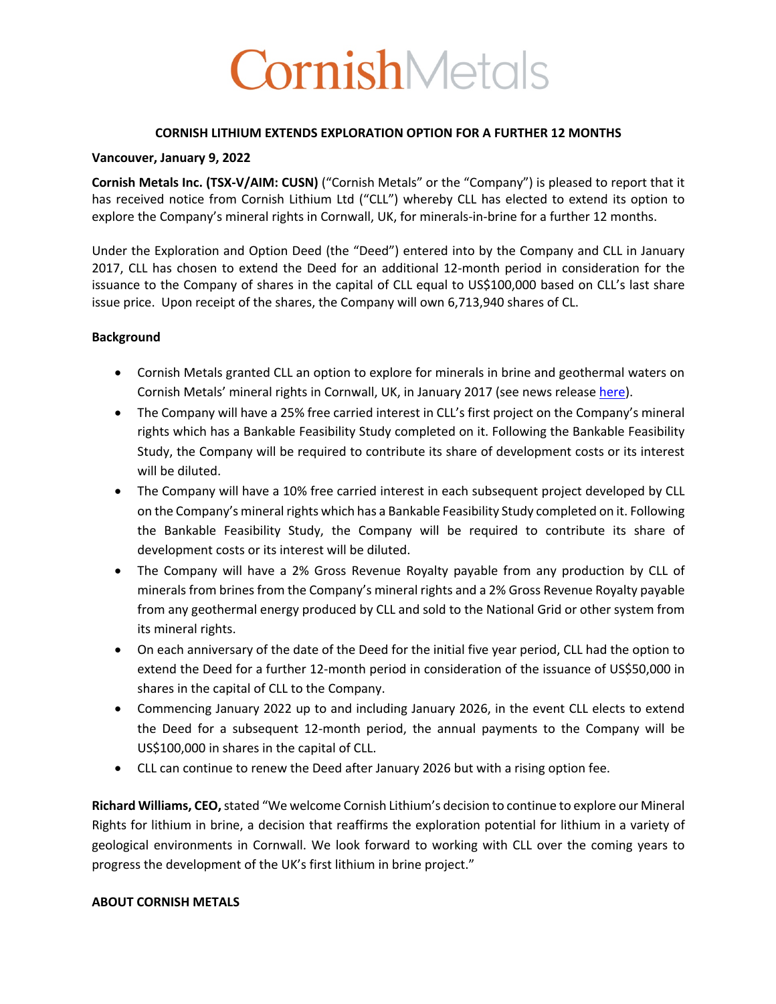# CornishMetals

## **CORNISH LITHIUM EXTENDS EXPLORATION OPTION FOR A FURTHER 12 MONTHS**

## **Vancouver, January 9, 2022**

**Cornish Metals Inc. (TSX-V/AIM: CUSN)** ("Cornish Metals" or the "Company") is pleased to report that it has received notice from Cornish Lithium Ltd ("CLL") whereby CLL has elected to extend its option to explore the Company's mineral rights in Cornwall, UK, for minerals-in-brine for a further 12 months.

Under the Exploration and Option Deed (the "Deed") entered into by the Company and CLL in January 2017, CLL has chosen to extend the Deed for an additional 12-month period in consideration for the issuance to the Company of shares in the capital of CLL equal to US\$100,000 based on CLL's last share issue price. Upon receipt of the shares, the Company will own 6,713,940 shares of CL.

# **Background**

- Cornish Metals granted CLL an option to explore for minerals in brine and geothermal waters on Cornish Metals' mineral rights in Cornwall, UK, in January 2017 (see news release here).
- The Company will have a 25% free carried interest in CLL's first project on the Company's mineral rights which has a Bankable Feasibility Study completed on it. Following the Bankable Feasibility Study, the Company will be required to contribute its share of development costs or its interest will be diluted.
- The Company will have a 10% free carried interest in each subsequent project developed by CLL on the Company's mineral rights which has a Bankable Feasibility Study completed on it. Following the Bankable Feasibility Study, the Company will be required to contribute its share of development costs or its interest will be diluted.
- The Company will have a 2% Gross Revenue Royalty payable from any production by CLL of minerals from brines from the Company's mineral rights and a 2% Gross Revenue Royalty payable from any geothermal energy produced by CLL and sold to the National Grid or other system from its mineral rights.
- On each anniversary of the date of the Deed for the initial five year period, CLL had the option to extend the Deed for a further 12-month period in consideration of the issuance of US\$50,000 in shares in the capital of CLL to the Company.
- Commencing January 2022 up to and including January 2026, in the event CLL elects to extend the Deed for a subsequent 12-month period, the annual payments to the Company will be US\$100,000 in shares in the capital of CLL.
- CLL can continue to renew the Deed after January 2026 but with a rising option fee.

**Richard Williams, CEO,**stated "We welcome Cornish Lithium's decision to continue to explore our Mineral Rights for lithium in brine, a decision that reaffirms the exploration potential for lithium in a variety of geological environments in Cornwall. We look forward to working with CLL over the coming years to progress the development of the UK's first lithium in brine project."

## **ABOUT CORNISH METALS**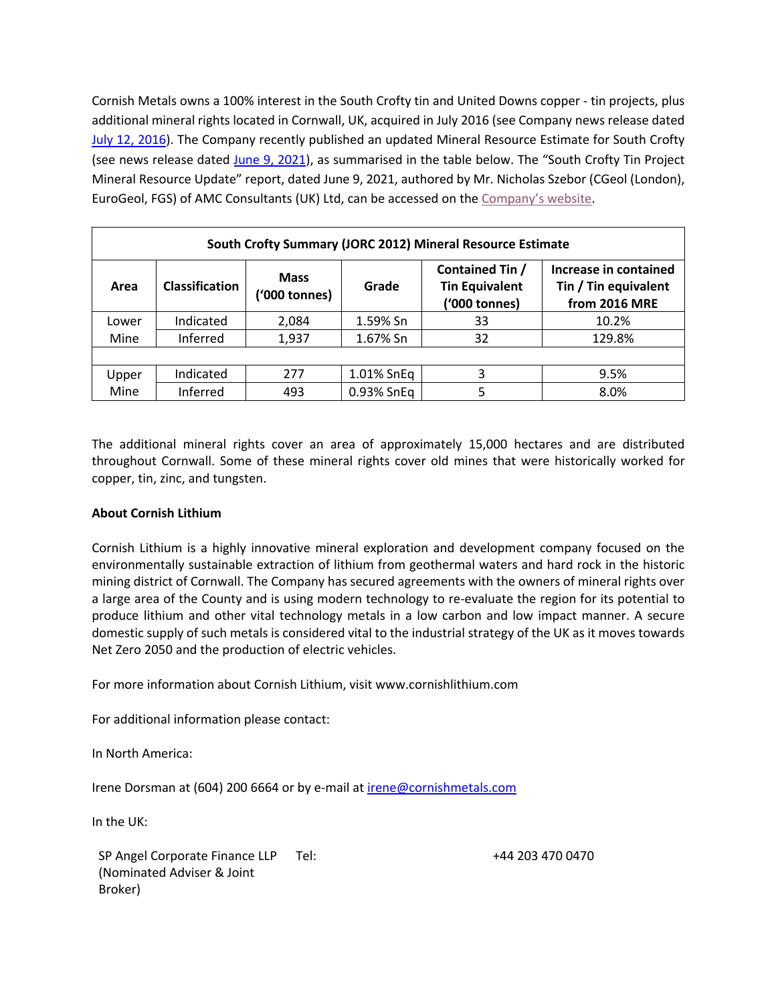Cornish Metals owns a 100% interest in the South Crofty tin and United Downs copper - tin projects, plus additional mineral rights located in Cornwall, UK, acquired in July 2016 (see Company news release dated July 12, 2016). The Company recently published an updated Mineral Resource Estimate for South Crofty (see news release dated June 9, 2021), as summarised in the table below. The "South Crofty Tin Project Mineral Resource Update" report, dated June 9, 2021, authored by Mr. Nicholas Szebor (CGeol (London), EuroGeol, FGS) of AMC Consultants (UK) Ltd, can be accessed on the Company's website.

| South Crofty Summary (JORC 2012) Mineral Resource Estimate |                       |                       |            |                                                           |                                                                |  |  |
|------------------------------------------------------------|-----------------------|-----------------------|------------|-----------------------------------------------------------|----------------------------------------------------------------|--|--|
| Area                                                       | <b>Classification</b> | Mass<br>('000 tonnes) | Grade      | Contained Tin /<br><b>Tin Equivalent</b><br>('000 tonnes) | Increase in contained<br>Tin / Tin equivalent<br>from 2016 MRE |  |  |
| Lower                                                      | Indicated             | 2,084                 | 1.59% Sn   | 33                                                        | 10.2%                                                          |  |  |
| Mine                                                       | Inferred              | 1,937                 | 1.67% Sn   | 32                                                        | 129.8%                                                         |  |  |
|                                                            |                       |                       |            |                                                           |                                                                |  |  |
| Upper                                                      | Indicated             | 277                   | 1.01% SnEq | 3                                                         | 9.5%                                                           |  |  |
| Mine                                                       | Inferred              | 493                   | 0.93% SnEq |                                                           | 8.0%                                                           |  |  |

The additional mineral rights cover an area of approximately 15,000 hectares and are distributed throughout Cornwall. Some of these mineral rights cover old mines that were historically worked for copper, tin, zinc, and tungsten.

# **About Cornish Lithium**

Cornish Lithium is a highly innovative mineral exploration and development company focused on the environmentally sustainable extraction of lithium from geothermal waters and hard rock in the historic mining district of Cornwall. The Company has secured agreements with the owners of mineral rights over a large area of the County and is using modern technology to re-evaluate the region for its potential to produce lithium and other vital technology metals in a low carbon and low impact manner. A secure domestic supply of such metals is considered vital to the industrial strategy of the UK as it moves towards Net Zero 2050 and the production of electric vehicles.

For more information about Cornish Lithium, visit www.cornishlithium.com

For additional information please contact:

In North America:

Irene Dorsman at (604) 200 6664 or by e-mail at irene@cornishmetals.com

In the UK:

SP Angel Corporate Finance LLP (Nominated Adviser & Joint Broker)

Tel: +44 203 470 0470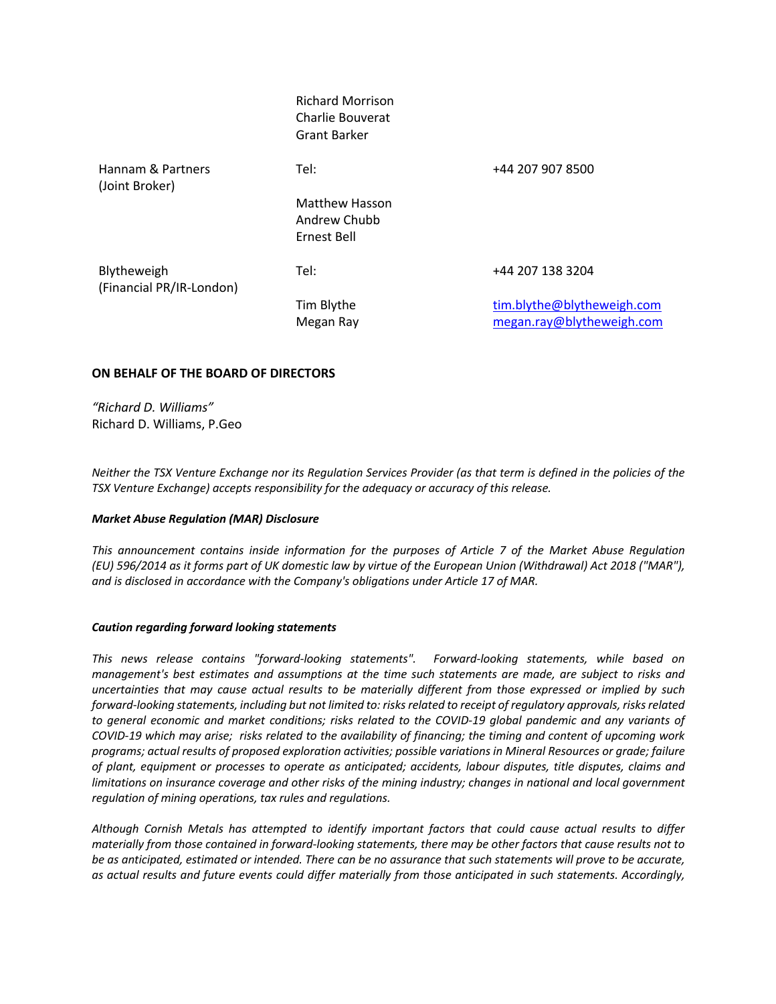|                                         | <b>Richard Morrison</b><br>Charlie Bouverat<br><b>Grant Barker</b> |                                                         |
|-----------------------------------------|--------------------------------------------------------------------|---------------------------------------------------------|
| Hannam & Partners<br>(Joint Broker)     | Tel:                                                               | +44 207 907 8500                                        |
|                                         | <b>Matthew Hasson</b><br>Andrew Chubb<br>Ernest Bell               |                                                         |
| Blytheweigh<br>(Financial PR/IR-London) | Tel:                                                               | +44 207 138 3204                                        |
|                                         | Tim Blythe<br>Megan Ray                                            | tim.blythe@blytheweigh.com<br>megan.ray@blytheweigh.com |

## **ON BEHALF OF THE BOARD OF DIRECTORS**

*"Richard D. Williams"* Richard D. Williams, P.Geo

*Neither the TSX Venture Exchange nor its Regulation Services Provider (as that term is defined in the policies of the TSX Venture Exchange) accepts responsibility for the adequacy or accuracy of this release.*

#### *Market Abuse Regulation (MAR) Disclosure*

*This announcement contains inside information for the purposes of Article 7 of the Market Abuse Regulation (EU) 596/2014 as it forms part of UK domestic law by virtue of the European Union (Withdrawal) Act 2018 ("MAR"), and is disclosed in accordance with the Company's obligations under Article 17 of MAR.*

#### *Caution regarding forward looking statements*

*This news release contains "forward-looking statements". Forward-looking statements, while based on management's best estimates and assumptions at the time such statements are made, are subject to risks and uncertainties that may cause actual results to be materially different from those expressed or implied by such forward-looking statements, including but not limited to: risks related to receipt of regulatory approvals, risks related to general economic and market conditions; risks related to the COVID-19 global pandemic and any variants of COVID-19 which may arise; risks related to the availability of financing; the timing and content of upcoming work programs; actual results of proposed exploration activities; possible variations in Mineral Resources or grade; failure of plant, equipment or processes to operate as anticipated; accidents, labour disputes, title disputes, claims and limitations on insurance coverage and other risks of the mining industry; changes in national and local government regulation of mining operations, tax rules and regulations.* 

*Although Cornish Metals has attempted to identify important factors that could cause actual results to differ materially from those contained in forward-looking statements, there may be other factors that cause results not to be as anticipated, estimated or intended. There can be no assurance that such statements will prove to be accurate, as actual results and future events could differ materially from those anticipated in such statements. Accordingly,*